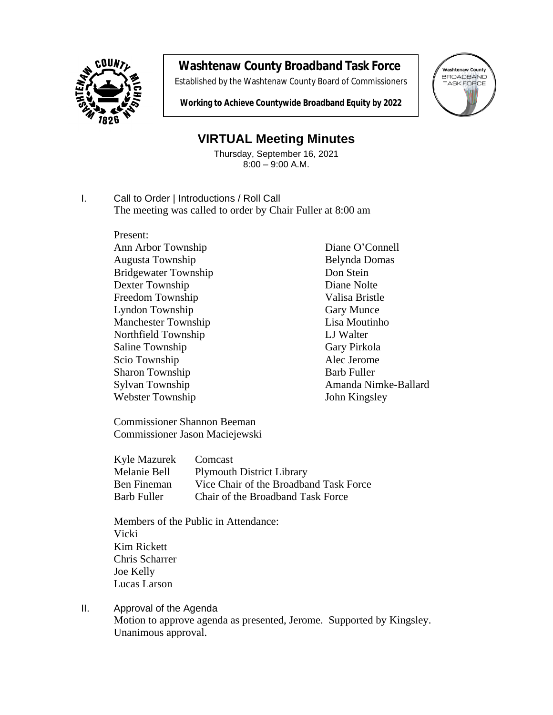

## **Washtenaw County Broadband Task Force**

Established by the Washtenaw County Board of Commissioners



**Working to Achieve Countywide Broadband Equity by 2022**

## **VIRTUAL Meeting Minutes**

Thursday, September 16, 2021 8:00 – 9:00 A.M.

I. Call to Order | Introductions / Roll Call The meeting was called to order by Chair Fuller at 8:00 am

> Present: Ann Arbor Township Diane O'Connell Augusta Township Belynda Domas Bridgewater Township Don Stein<br>Dexter Township Diane Nolte Dexter Township Freedom Township Valisa Bristle Lyndon Township Gary Munce Manchester Township Lisa Moutinho Northfield Township LJ Walter Saline Township Gary Pirkola Scio Township Alec Jerome Sharon Township Barb Fuller Webster Township John Kingsley

Sylvan Township Amanda Nimke-Ballard

Commissioner Shannon Beeman Commissioner Jason Maciejewski

| Kyle Mazurek       | Comcast                                |
|--------------------|----------------------------------------|
| Melanie Bell       | <b>Plymouth District Library</b>       |
| <b>Ben Fineman</b> | Vice Chair of the Broadband Task Force |
| <b>Barb Fuller</b> | Chair of the Broadband Task Force      |

Members of the Public in Attendance: Vicki Kim Rickett Chris Scharrer Joe Kelly Lucas Larson

II. Approval of the Agenda Motion to approve agenda as presented, Jerome. Supported by Kingsley. Unanimous approval.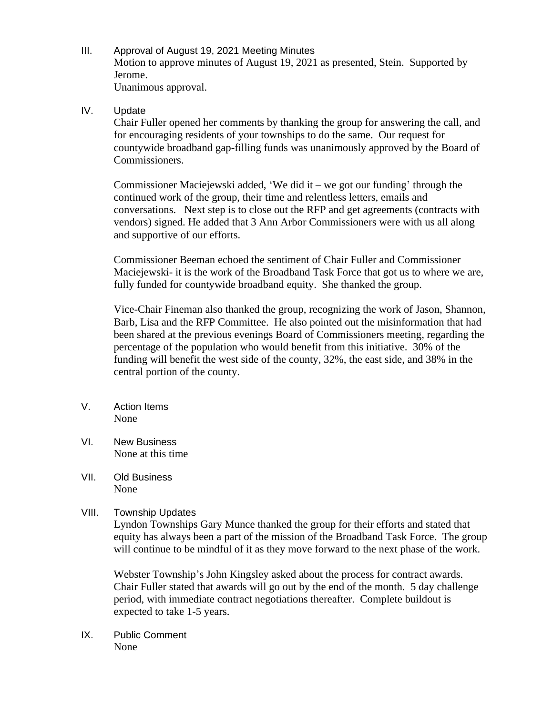- III. Approval of August 19, 2021 Meeting Minutes Motion to approve minutes of August 19, 2021 as presented, Stein. Supported by Jerome. Unanimous approval.
- IV. Update

Chair Fuller opened her comments by thanking the group for answering the call, and for encouraging residents of your townships to do the same. Our request for countywide broadband gap-filling funds was unanimously approved by the Board of Commissioners.

Commissioner Maciejewski added, 'We did it – we got our funding' through the continued work of the group, their time and relentless letters, emails and conversations. Next step is to close out the RFP and get agreements (contracts with vendors) signed. He added that 3 Ann Arbor Commissioners were with us all along and supportive of our efforts.

Commissioner Beeman echoed the sentiment of Chair Fuller and Commissioner Maciejewski- it is the work of the Broadband Task Force that got us to where we are, fully funded for countywide broadband equity. She thanked the group.

Vice-Chair Fineman also thanked the group, recognizing the work of Jason, Shannon, Barb, Lisa and the RFP Committee. He also pointed out the misinformation that had been shared at the previous evenings Board of Commissioners meeting, regarding the percentage of the population who would benefit from this initiative. 30% of the funding will benefit the west side of the county, 32%, the east side, and 38% in the central portion of the county.

- V. Action Items None
- VI. New Business None at this time
- VII. Old Business None
- VIII. Township Updates

Lyndon Townships Gary Munce thanked the group for their efforts and stated that equity has always been a part of the mission of the Broadband Task Force. The group will continue to be mindful of it as they move forward to the next phase of the work.

Webster Township's John Kingsley asked about the process for contract awards. Chair Fuller stated that awards will go out by the end of the month. 5 day challenge period, with immediate contract negotiations thereafter. Complete buildout is expected to take 1-5 years.

IX. Public Comment None